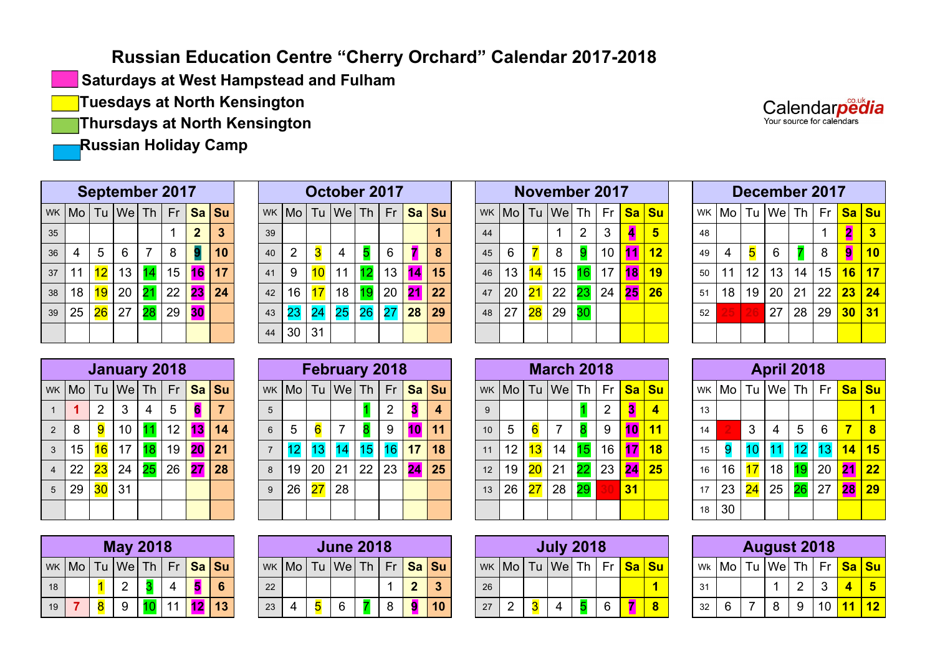## **Russian Education Centre "Cherry Orchard" Calendar 2017-2018**

**Saturdays at West Hampstead and Fulham**

**Tuesdays at North Kensington**

**Thursdays at North Kensington**

**Russian Holiday Camp**

| Calendarpedia             |  |
|---------------------------|--|
| Your source for calendars |  |

|    | <b>September 2017</b><br>WK   Mo   Tu   We   Th   Fr  <br>Sa Su<br>$\overline{2}$<br>6<br>5<br>8<br>7<br>4<br>15<br>12<br>14<br>16<br>13<br>11 |    |    |    |    |    |    |  |  |  |  |  |  |  |  |
|----|------------------------------------------------------------------------------------------------------------------------------------------------|----|----|----|----|----|----|--|--|--|--|--|--|--|--|
|    |                                                                                                                                                |    |    |    |    |    |    |  |  |  |  |  |  |  |  |
| 35 |                                                                                                                                                |    |    |    |    |    | 3  |  |  |  |  |  |  |  |  |
| 36 |                                                                                                                                                |    |    |    |    |    | 10 |  |  |  |  |  |  |  |  |
| 37 |                                                                                                                                                |    |    |    |    |    | 17 |  |  |  |  |  |  |  |  |
| 38 | 18                                                                                                                                             | 19 | 20 | 21 | 22 | 23 | 24 |  |  |  |  |  |  |  |  |
| 39 | 25                                                                                                                                             | 26 | 27 | 28 | 29 | 30 |    |  |  |  |  |  |  |  |  |
|    |                                                                                                                                                |    |    |    |    |    |    |  |  |  |  |  |  |  |  |

|    |    |                 | <b>September 2017</b> |    |    |                       |          |    |                                                    |                         | October 2017 |    |                 |    |                 |    |       |    | November 2017    |                       |    |                |                             |    |       |    | <b>December 2017</b> |            |    |                        |              |
|----|----|-----------------|-----------------------|----|----|-----------------------|----------|----|----------------------------------------------------|-------------------------|--------------|----|-----------------|----|-----------------|----|-------|----|------------------|-----------------------|----|----------------|-----------------------------|----|-------|----|----------------------|------------|----|------------------------|--------------|
|    |    |                 | wк  Mo   Tu  We  Th   |    |    |                       | Fr Sa Su |    | wk   Mo   Tu   We   Th   Fr <mark>  Sa   Su</mark> |                         |              |    |                 |    |                 |    | WK Mo |    | $ Tu $ We $ Th $ |                       |    |                | ∣ Fr <mark> Sa  Su  </mark> |    | WK Mo |    | Tu  We  Th           |            | Fr | <mark>l Sa ∣ Su</mark> |              |
| 35 |    |                 |                       |    |    |                       | З        | 39 |                                                    |                         |              |    |                 |    |                 | 44 |       |    |                  | $\mathbf{2}^{\prime}$ | 3  | $\overline{a}$ |                             | 48 |       |    |                      |            |    |                        |              |
| 36 | 4  | 5               | 6                     | 7  | 8  |                       |          | 40 | 2                                                  | $\overline{\mathbf{3}}$ | 4            |    | 6               |    | 8               | 45 | 6     |    |                  |                       | 10 | 11             | 12                          | 49 |       | 5  | 6                    |            | 8  | 9                      | $ 10\rangle$ |
| 37 |    | 12 <sup>°</sup> | 13 <sub>1</sub>       |    | 15 | 16                    |          | 41 | 9                                                  | 10                      | 11           |    | 13              |    | 15              | 46 | 13    | 14 | 15 <sub>1</sub>  | 16                    | 17 | 18             | 19                          | 50 | 11    | 12 | 13                   | 14         | 15 | 16 17                  |              |
| 38 | 18 | 19              | 20                    |    | 22 | $\vert$ 23 $\vert$ 24 |          | 42 | 16                                                 | 17                      | 18           |    |                 |    | 20 <b>21 22</b> | 47 | 20    | 21 | 22               | $\overline{23}$ 1     | 24 | 25             | 26                          | 51 | 18    | 19 | 20                   | $\vert$ 21 | 22 | $\sqrt{23}$ 24         |              |
| 39 | 25 | $26\,$          | $\sqrt{27}$           | 28 | 29 | <b>BO</b>             |          | 43 |                                                    |                         | 25           | 26 | $\overline{27}$ | 28 | 29              | 48 | 27    | 28 | 29               |                       |    |                |                             | 52 |       |    | 27                   | 28         | 29 | $30   31$              |              |
|    |    |                 |                       |    |    |                       |          | 44 | 30                                                 | 31                      |              |    |                 |    |                 |    |       |    |                  |                       |    |                |                             |    |       |    |                      |            |    |                        |              |

|    |    |                 | November 2017    |                |    |    |           |
|----|----|-----------------|------------------|----------------|----|----|-----------|
|    |    |                 | $wk$ Mo Tu We Th |                | Fr | sa | <b>Su</b> |
| 44 |    |                 | 1                | $\overline{2}$ | 3  | 4  | 5         |
| 45 | 6  |                 | 8                | 9              | 10 | 11 | 12        |
| 46 | 13 | 14              | 15               | 16             | 17 | 18 | 19        |
| 47 | 20 | 21              | 22               | 23             | 24 | 25 | 26        |
| 48 | 27 | $\overline{28}$ | 29               | 30             |    |    |           |
|    |    |                 |                  |                |    |    |           |

|    |    |    | December 2017             |    |    |           |                         |
|----|----|----|---------------------------|----|----|-----------|-------------------------|
| WK |    |    | $M_0$ Tu $W_e$ Th $\vert$ |    | Fr | <b>Sa</b> | <b>Su</b>               |
| 48 |    |    |                           |    | 1  | 2         | $\overline{\mathbf{3}}$ |
| 49 | 4  | 5  | 6                         |    | 8  | 9         | 10                      |
| 50 | 11 | 12 | 13 <sup>2</sup>           | 14 | 15 | 16        | 17                      |
| 51 | 18 | 19 | 20                        | 21 | 22 | 23        | 24                      |
| 52 | 25 | 26 | 27                        | 28 | 29 | 30        | 31                      |
|    |    |    |                           |    |    |           |                         |

|                         |    |                | <b>January 2018</b>                              |        |                 |    |    |
|-------------------------|----|----------------|--------------------------------------------------|--------|-----------------|----|----|
|                         |    |                | WK Mo   Tu   We   Th   Fr <mark>  Sa   Su</mark> |        |                 |    |    |
| 1                       |    | $\overline{2}$ | 3                                                | 4      | 5               | 6  |    |
| $\overline{2}$          | 8  | 9              | 10                                               | 11     | 12 <sub>2</sub> | 13 | 14 |
| $\overline{3}$          | 15 | 16             | 17                                               | 18     | 19              | 20 | 21 |
| $\overline{\mathbf{4}}$ | 22 | 23             | 24                                               | $25\,$ | 26              | 27 | 28 |
| 5                       | 29 | 30             | 31                                               |        |                 |    |    |
|                         |    |                |                                                  |        |                 |    |    |

|                |             |        | January 2018         |                 |             |                       |             |   |       |                 | <b>February 2018</b>                     |    |          |                  |    |    |       |    | <b>March 2018</b> |                 |    |    |                            |    |       |              | <b>April 2018</b> |                 |    |                       |       |
|----------------|-------------|--------|----------------------|-----------------|-------------|-----------------------|-------------|---|-------|-----------------|------------------------------------------|----|----------|------------------|----|----|-------|----|-------------------|-----------------|----|----|----------------------------|----|-------|--------------|-------------------|-----------------|----|-----------------------|-------|
|                |             |        | wк  Mo   Tu  We  Th  |                 |             |                       | Fr Sa Su    |   | WK Mo |                 | Tu   We   Th   Fr <mark>  Sa   Su</mark> |    |          |                  |    |    | WK Mo |    | $ Tu $ We $ Th $  |                 |    |    | Fr <mark> Sa   Su  </mark> |    | WK Mo |              | Tu  We  Th        |                 |    | Fr <mark>Sa Su</mark> |       |
|                |             | 2      | 3                    | 4               | 5           | -6                    |             |   |       |                 |                                          |    | 2        |                  | 4  |    |       |    |                   |                 |    | 3  | 4                          | 13 |       |              |                   |                 |    |                       |       |
| $2^{\circ}$    | 8           | 9      | 10 <sup>°</sup>      |                 | 12          | $\overline{13}$       | $\sqrt{14}$ | 6 | 5     | $6\overline{6}$ |                                          | 8  | 9        |                  | 11 | 10 | 5     |    |                   |                 | 9  | 10 | <b>11</b>                  | 14 |       | $\mathbf{3}$ | 4                 | $5\overline{)}$ | 6  |                       | $7$ 8 |
| 3 <sup>1</sup> | 15          | 16     | 17                   | 18 <sup>°</sup> | 19          | $\vert$ 20 $\vert$ 21 |             |   |       |                 |                                          |    | 16       | 17 <sup>17</sup> | 18 | 11 | 12    | 13 | 14 <sub>1</sub>   | 15 <sub>1</sub> | 16 | 47 | 18                         | 15 |       |              |                   |                 |    |                       | 14 15 |
|                | 22          | $23$ . | 24                   |                 | 25 26 27 28 |                       |             | 8 | 19    | 20              | $ 21\rangle$                             | 22 | 23 24 25 |                  |    | 12 | 19    | 20 | 21                | $22$ l          | 23 | 24 | 25                         | 16 | 16    | 17           | 18                | 19 <sup>1</sup> | 20 | 21 22                 |       |
|                | $5 \mid 29$ |        | <mark>30</mark>   31 |                 |             |                       |             |   | 26    | <b>27</b>       | 28                                       |    |          |                  |    | 13 | 26    | 27 | 28                | 29              |    | 31 |                            | 17 | 23    | 24           | 25                | $26$ l          | 27 | 28 29                 |       |
|                |             |        |                      |                 |             |                       |             |   |       |                 |                                          |    |          |                  |    |    |       |    |                   |                 |    |    |                            | 18 | 30    |              |                   |                 |    |                       |       |

|    |  | <b>May 2018</b>                     |    |    |    |
|----|--|-------------------------------------|----|----|----|
|    |  | WK Mo   Tu   We   Th   Fr   Sa   Su |    |    |    |
| 18 |  | 2                                   |    |    | 6  |
| 19 |  | 9                                   | 11 | 12 | 13 |

|    |  | <b>June 2018</b>                      |   |             |    |
|----|--|---------------------------------------|---|-------------|----|
|    |  | WK   Mo   Tu   We   Th   Fr   Sa   Su |   |             |    |
| 22 |  |                                       |   | $\mathbf 2$ |    |
| 23 |  | 6                                     | 8 | a           | 10 |

|           |    |    | <b>March 2018</b> |                 |    |           |           |
|-----------|----|----|-------------------|-----------------|----|-----------|-----------|
| <b>WK</b> |    |    | Mo Tu We Th       |                 | Fr | <b>Sa</b> | <b>Su</b> |
| 9         |    |    |                   |                 | 2  | З         |           |
| 10        | 5  | 6  | 7                 | 8               | 9  | 10        | 11        |
| 11        | 12 | 13 | 14                | 15              | 16 | 17        | 18        |
| 12        | 19 | 20 | 21                | $\overline{22}$ | 23 | 24        | 25        |
| 13        | 26 | 27 | 28                | 29              | 30 | 31        |           |
|           |    |    |                   |                 |    |           |           |

|    |    |                 | <b>April 2018</b>      |    |    |           |                 |
|----|----|-----------------|------------------------|----|----|-----------|-----------------|
| WK |    |                 | Mo   Tu   We   Th   Fr |    |    | <b>Sa</b> | Su              |
| 13 |    |                 |                        |    |    |           |                 |
| 14 |    | 3               | 4                      | 5  | 6  | 7         | 8               |
| 15 | 9  | 10              | 11                     | 12 | 13 | 14        | 15              |
| 16 | 16 | 17              | 18                     | 19 | 20 | 21        | $\overline{22}$ |
| 17 | 23 | $\overline{24}$ | 25                     | 26 | 27 | 28        | 29              |
| 18 | 30 |                 |                        |    |    |           |                 |

|    |  | <b>May 2018</b>                                   |  |  |    |  | <b>June 2018</b> |  |                                                      |           |     | <b>July 2018</b> |  |                       |    |        | <b>August 2018</b> |        |                |                       |  |
|----|--|---------------------------------------------------|--|--|----|--|------------------|--|------------------------------------------------------|-----------|-----|------------------|--|-----------------------|----|--------|--------------------|--------|----------------|-----------------------|--|
|    |  | wk  Mo   Tu  We  Th   Fr <mark>  Sa   Su  </mark> |  |  |    |  |                  |  | wk   Mo   Tu   We   Th   Fr <mark>  Sa   Su  </mark> | <b>WK</b> | ⊺Mo | Tu   We   Th     |  | Fr <mark>Sa Su</mark> |    | Wk Mol | $Tu$   We   Th     |        |                | Fr <mark>Sa Su</mark> |  |
| 18 |  |                                                   |  |  | 22 |  |                  |  | $\bullet$                                            | 26        |     |                  |  |                       | 31 |        |                    | $\sim$ |                |                       |  |
| 19 |  |                                                   |  |  | 23 |  |                  |  | 10                                                   | 27        | -   |                  |  |                       | 32 |        |                    |        | 1 <sup>c</sup> |                       |  |

| <b>August 2018</b> |   |  |                                                  |   |    |  |    |  |  |
|--------------------|---|--|--------------------------------------------------|---|----|--|----|--|--|
|                    |   |  | wk  Mo   Tu  We   Th   Fr <mark>  Sa   Su</mark> |   |    |  |    |  |  |
| 31                 |   |  |                                                  | 2 | 3  |  | 5  |  |  |
| 32                 | 6 |  | 8                                                | 9 | 10 |  | 12 |  |  |